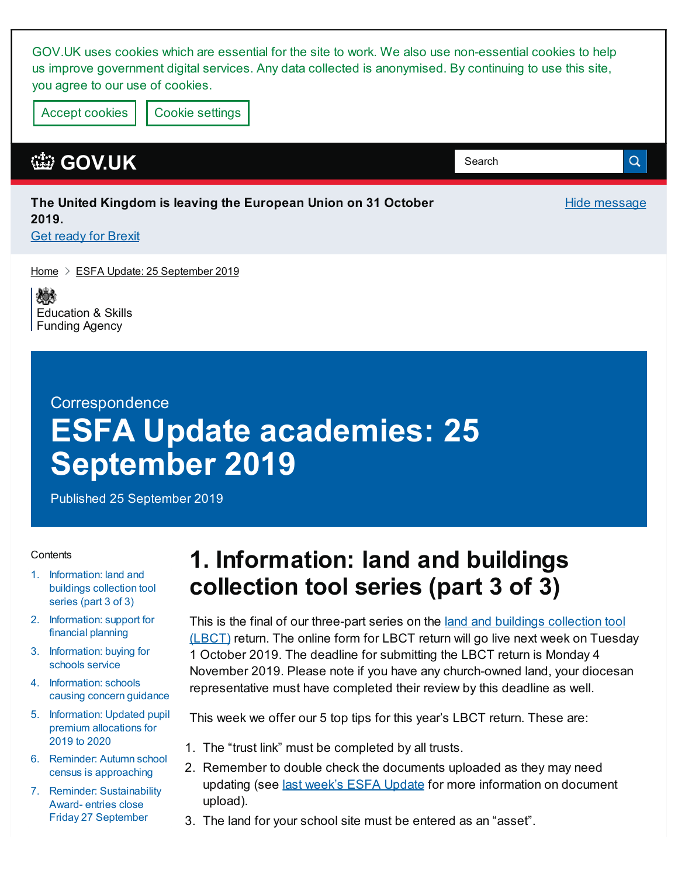GOV.UK uses cookies which are essential for the site to work. We also use non-essential cookies to help us improve government digital services. Any data collected is anonymised. By continuing to use this site, you agree to our use of cookies.

Accept cookies | Cookie [settings](https://www.gov.uk/help/cookies)

#### **[GOV.UK](https://www.gov.uk)**

#### **The United Kingdom is leaving the European Union on 31 October 2019. Get ready for [Brexit](https://www.gov.uk/brexit)**

[Home](https://www.gov.uk/)  $\geq$  ESFA Update: 25 [September](https://www.gov.uk/government/publications/esfa-update-25-september-2019) 2019

嫁 [Education](https://www.gov.uk/government/organisations/education-and-skills-funding-agency) & Skills Funding Agency

#### **Correspondence**

# **ESFA Update academies: 25 September 2019**

Published 25 September 2019

#### **Contents**

- 1. [Information:](#page-0-0) land and buildings collection tool series (part 3 of 3)
- 2. [Information:](#page-1-0) support for financial planning
- 3. [Information:](#page-1-1) buying for schools service
- 4. [Information:](#page-2-0) schools causing concern guidance
- 5. [Information:](#page-2-1) Updated pupil premium allocations for 2019 to 2020
- 6. Reminder: Autumn school census is [approaching](#page-2-2)
- 7. Reminder: [Sustainability](#page-3-0) Award- entries close Friday 27 September

## <span id="page-0-0"></span>**1. Information: land and buildings collection tool series (part 3 of 3)**

This is the final of our [three-part](https://www.gov.uk/government/publications/academies-land-and-buildings-collection-tool?utm_source=LBCT update 11 Sept 2019) series on the land and buildings collection tool (LBCT) return. The online form for LBCT return will go live next week on Tuesday 1 October 2019. The deadline for submitting the LBCT return is Monday 4 November 2019. Please note if you have any church-owned land, your diocesan representative must have completed their review by this deadline as well.

**Hide message** 

Q

Search

This week we offer our 5 top tips for this year's LBCT return. These are:

- 1. The "trust link" must be completed by all trusts.
- 2. Remember to double check the documents uploaded as they may need updating (see last week's ESFA [Update](https://www.gov.uk/government/publications/esfa-update-18-september-2019/esfa-update-academies-18-september-2019) for more information on document upload).
- 3. The land for your school site must be entered as an "asset".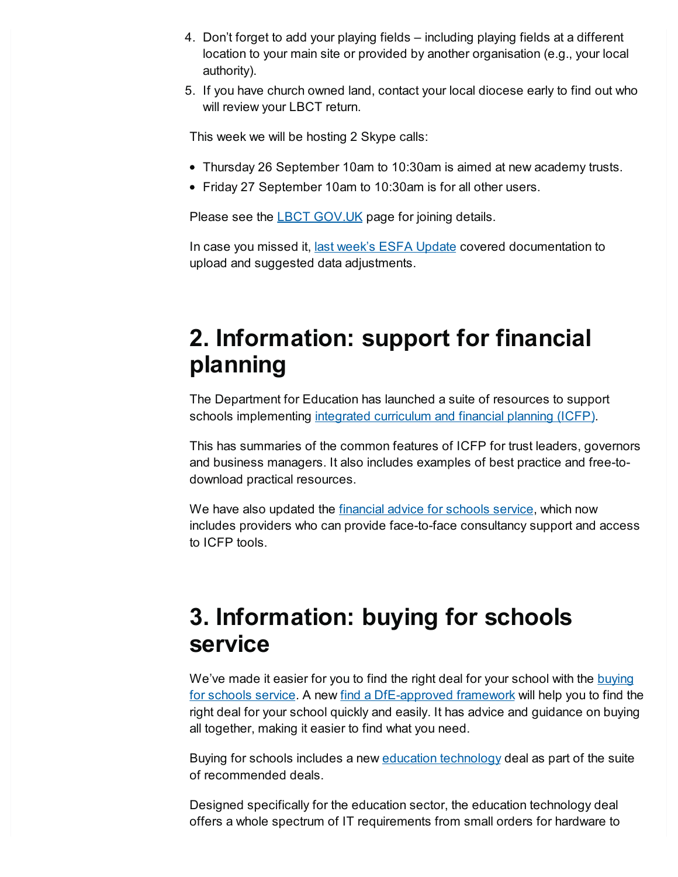- 4. Don't forget to add your playing fields including playing fields at a different location to your main site or provided by another organisation (e.g., your local authority).
- 5. If you have church owned land, contact your local diocese early to find out who will review your LBCT return.

This week we will be hosting 2 Skype calls:

- Thursday 26 September 10am to 10:30am is aimed at new academy trusts.
- Friday 27 September 10am to 10:30am is for all other users.

Please see the **LBCT [GOV.UK](https://www.gov.uk/government/publications/academies-land-and-buildings-collection-tool?utm_source=ESFA Update 25 Sep)** page for joining details.

In case you missed it, last week's ESFA [Update](https://www.gov.uk/government/publications/esfa-update-18-september-2019/esfa-update-academies-18-september-2019) covered documentation to upload and suggested data adjustments.

## <span id="page-1-0"></span>**2. Information: support for financial planning**

The Department for Education has launched a suite of resources to support schools implementing integrated [curriculum](https://www.gov.uk/guidance/integrated-curriculum-and-financial-planning-icfp) and financial planning (ICFP).

This has summaries of the common features of ICFP for trust leaders, governors and business managers. It also includes examples of best practice and free-todownload practical resources.

We have also updated the *[financial](https://www.gov.uk/guidance/get-financial-advice-for-schools) advice for schools service*, which now includes providers who can provide face-to-face consultancy support and access to ICFP tools.

### <span id="page-1-1"></span>**3. Information: buying for schools service**

We've made it easier for you to find the right deal for your school with the buying for schools service. A new find a [DfE-approved](https://www.gov.uk/guidance/buying-for-schools?utm_source=email&utm_medium=Email&utm_campaign=Back to school) framework will help you to find the right deal for your school quickly and easily. It has advice and guidance on buying all together, making it easier to find what you need.

Buying for schools includes a new **education [technology](http://bit.ly/SCTEdTec)** deal as part of the suite of recommended deals.

Designed specifically for the education sector, the education technology deal offers a whole spectrum of IT requirements from small orders for hardware to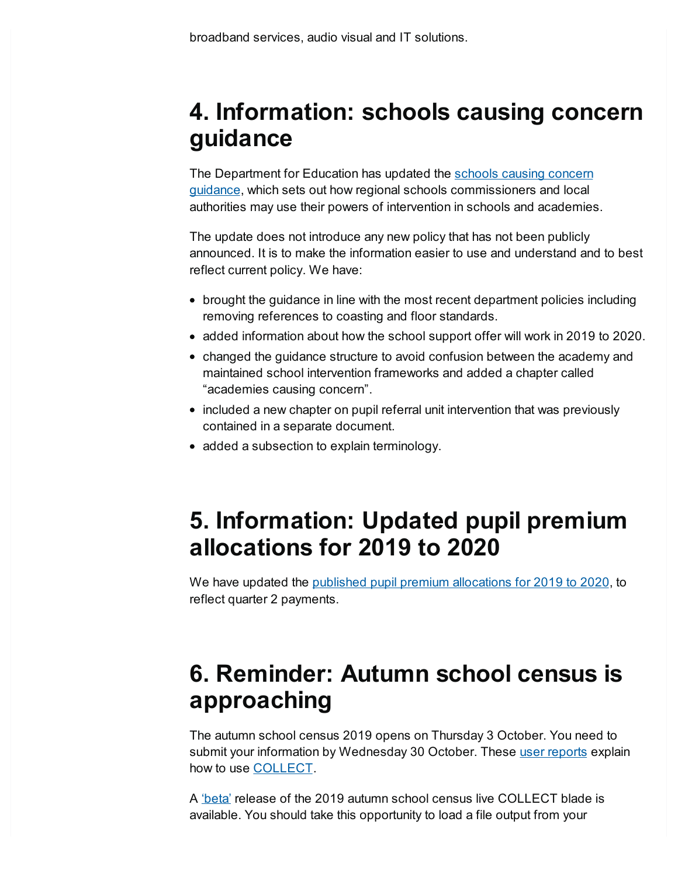### <span id="page-2-0"></span>**4. Information: schools causing concern guidance**

The Department for Education has updated the schools causing concern guidance, which sets out how regional schools [commissioners](https://www.gov.uk/government/publications/schools-causing-concern--2) and local authorities may use their powers of intervention in schools and academies.

The update does not introduce any new policy that has not been publicly announced. It is to make the information easier to use and understand and to best reflect current policy. We have:

- brought the guidance in line with the most recent department policies including removing references to coasting and floor standards.
- added information about how the school support offer will work in 2019 to 2020.
- changed the guidance structure to avoid confusion between the academy and maintained school intervention frameworks and added a chapter called "academies causing concern".
- included a new chapter on pupil referral unit intervention that was previously contained in a separate document.
- added a subsection to explain terminology.

#### <span id="page-2-1"></span>**5. Information: Updated pupil premium allocations for 2019 to 2020**

We have updated the published pupil premium [allocations](https://www.gov.uk/government/publications/pupil-premium-allocations-and-conditions-of-grant-2019-to-2020) for 2019 to 2020, to reflect quarter 2 payments.

### <span id="page-2-2"></span>**6. Reminder: Autumn school census is approaching**

The autumn school census 2019 opens on Thursday 3 October. You need to submit your information by Wednesday 30 October. These user [reports](https://www.gov.uk/government/publications/collect-guides-for-schools-and-local-authorities) explain how to use [COLLECT.](https://sa.education.gov.uk/)

A ['beta'](https://services.signin.education.gov.uk/) release of the 2019 autumn school census live COLLECT blade is available. You should take this opportunity to load a file output from your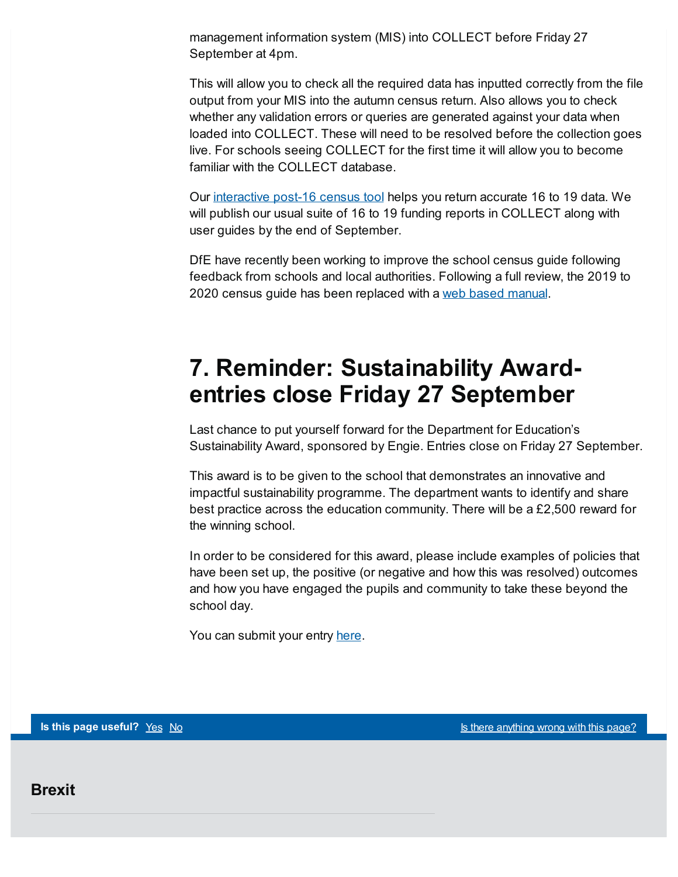management information system (MIS) into COLLECT before Friday 27 September at 4pm.

This will allow you to check all the required data has inputted correctly from the file output from your MIS into the autumn census return. Also allows you to check whether any validation errors or queries are generated against your data when loaded into COLLECT. These will need to be resolved before the collection goes live. For schools seeing COLLECT for the first time it will allow you to become familiar with the COLLECT database.

Our [interactive](https://www.gov.uk/government/publications/interactive-post-16-school-census-tool) post-16 census tool helps you return accurate 16 to 19 data. We will publish our usual suite of 16 to 19 funding reports in COLLECT along with user guides by the end of September.

DfE have recently been working to improve the school census guide following feedback from schools and local authorities. Following a full review, the 2019 to 2020 census guide has been replaced with a web based [manual](https://www.gov.uk/guidance/complete-the-school-census/check-your-data).

### <span id="page-3-0"></span>**7. Reminder: Sustainability Awardentries close Friday 27 September**

Last chance to put yourself forward for the Department for Education's Sustainability Award, sponsored by Engie. Entries close on Friday 27 September.

This award is to be given to the school that demonstrates an innovative and impactful sustainability programme. The department wants to identify and share best practice across the education community. There will be a  $£2,500$  reward for the winning school.

In order to be considered for this award, please include examples of policies that have been set up, the positive (or negative and how this was resolved) outcomes and how you have engaged the pupils and community to take these beyond the school day.

You can submit your entry [here](https://www.educationestates.com/awards-entry-dfe/).

**Brexit**